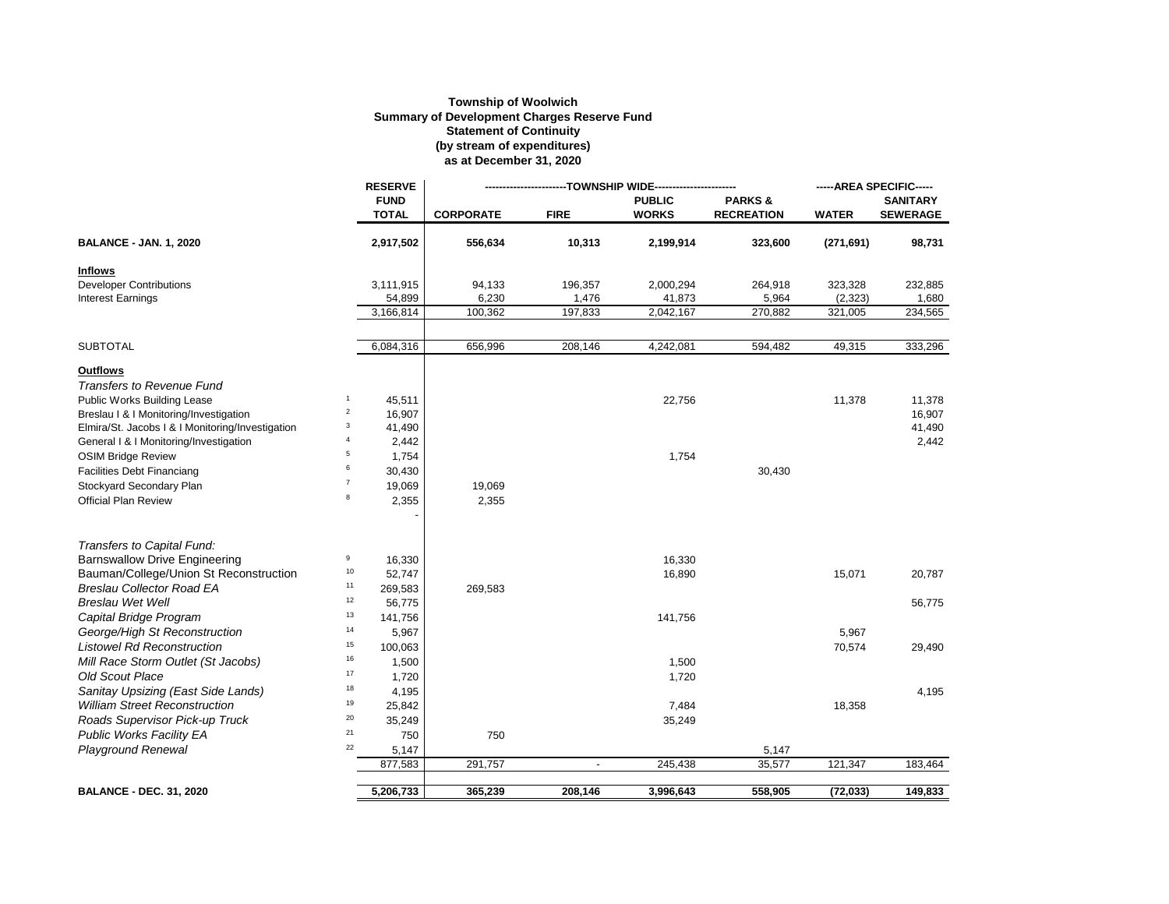## **Township of Woolwich Summary of Development Charges Reserve Fund Statement of Continuity (by stream of expenditures) as at December 31, 2020**

|                                                  |                | <b>RESERVE</b>              | ----------------TOWNSHIP WIDE-------------- |                |                               |                                        | -----AREA SPECIFIC----- |                                    |
|--------------------------------------------------|----------------|-----------------------------|---------------------------------------------|----------------|-------------------------------|----------------------------------------|-------------------------|------------------------------------|
|                                                  |                | <b>FUND</b><br><b>TOTAL</b> | <b>CORPORATE</b>                            | <b>FIRE</b>    | <b>PUBLIC</b><br><b>WORKS</b> | <b>PARKS&amp;</b><br><b>RECREATION</b> | <b>WATER</b>            | <b>SANITARY</b><br><b>SEWERAGE</b> |
| <b>BALANCE - JAN. 1, 2020</b>                    |                | 2,917,502                   | 556,634                                     | 10,313         | 2,199,914                     | 323,600                                | (271, 691)              | 98,731                             |
| <b>Inflows</b>                                   |                |                             |                                             |                |                               |                                        |                         |                                    |
| <b>Developer Contributions</b>                   |                | 3,111,915                   | 94,133                                      | 196,357        | 2,000,294                     | 264,918                                | 323,328                 | 232,885                            |
| <b>Interest Earnings</b>                         |                | 54,899                      | 6,230                                       | 1,476          | 41,873                        | 5,964                                  | (2, 323)                | 1,680                              |
|                                                  |                | 3,166,814                   | 100,362                                     | 197,833        | 2,042,167                     | 270,882                                | 321,005                 | 234,565                            |
| <b>SUBTOTAL</b>                                  |                | 6,084,316                   | 656,996                                     | 208,146        | 4,242,081                     | 594,482                                | 49,315                  | 333,296                            |
| <b>Outflows</b>                                  |                |                             |                                             |                |                               |                                        |                         |                                    |
| <b>Transfers to Revenue Fund</b>                 |                |                             |                                             |                |                               |                                        |                         |                                    |
| Public Works Building Lease                      | $\mathbf{1}$   | 45,511                      |                                             |                | 22,756                        |                                        | 11,378                  | 11,378                             |
| Breslau   &   Monitoring/Investigation           | $\overline{c}$ | 16,907                      |                                             |                |                               |                                        |                         | 16,907                             |
| Elmira/St. Jacobs I & I Monitoring/Investigation | 3              | 41,490                      |                                             |                |                               |                                        |                         | 41,490                             |
| General I & I Monitoring/Investigation           | $\overline{4}$ | 2,442                       |                                             |                |                               |                                        |                         | 2,442                              |
| <b>OSIM Bridge Review</b>                        | 5              | 1,754                       |                                             |                | 1,754                         |                                        |                         |                                    |
| <b>Facilities Debt Financiang</b>                | 6              | 30,430                      |                                             |                |                               | 30,430                                 |                         |                                    |
| Stockyard Secondary Plan                         | $\overline{7}$ | 19,069                      | 19,069                                      |                |                               |                                        |                         |                                    |
| <b>Official Plan Review</b>                      | 8              | 2,355                       | 2,355                                       |                |                               |                                        |                         |                                    |
| Transfers to Capital Fund:                       |                |                             |                                             |                |                               |                                        |                         |                                    |
| <b>Barnswallow Drive Engineering</b>             | 9              | 16,330                      |                                             |                | 16,330                        |                                        |                         |                                    |
| Bauman/College/Union St Reconstruction           | $10$           | 52,747                      |                                             |                | 16,890                        |                                        | 15,071                  | 20,787                             |
| <b>Breslau Collector Road EA</b>                 | 11             | 269,583                     | 269,583                                     |                |                               |                                        |                         |                                    |
| <b>Breslau Wet Well</b>                          | 12             | 56,775                      |                                             |                |                               |                                        |                         | 56,775                             |
| Capital Bridge Program                           | 13             | 141,756                     |                                             |                | 141,756                       |                                        |                         |                                    |
| George/High St Reconstruction                    | 14             | 5,967                       |                                             |                |                               |                                        | 5,967                   |                                    |
| <b>Listowel Rd Reconstruction</b>                | 15             | 100,063                     |                                             |                |                               |                                        | 70,574                  | 29,490                             |
| Mill Race Storm Outlet (St Jacobs)               | 16             | 1,500                       |                                             |                | 1,500                         |                                        |                         |                                    |
| <b>Old Scout Place</b>                           | 17             | 1,720                       |                                             |                | 1,720                         |                                        |                         |                                    |
| Sanitay Upsizing (East Side Lands)               | 18             | 4,195                       |                                             |                |                               |                                        |                         | 4,195                              |
| <b>William Street Reconstruction</b>             | 19             | 25,842                      |                                             |                | 7,484                         |                                        | 18,358                  |                                    |
| Roads Supervisor Pick-up Truck                   | 20             | 35,249                      |                                             |                | 35,249                        |                                        |                         |                                    |
| <b>Public Works Facility EA</b>                  | 21             | 750                         | 750                                         |                |                               |                                        |                         |                                    |
| <b>Playground Renewal</b>                        | 22             | 5,147                       |                                             |                |                               | 5,147                                  |                         |                                    |
|                                                  |                | 877,583                     | 291,757                                     | $\blacksquare$ | 245,438                       | 35,577                                 | 121,347                 | 183,464                            |
| <b>BALANCE - DEC. 31, 2020</b>                   |                | 5,206,733                   | 365,239                                     | 208,146        | 3,996,643                     | 558,905                                | (72, 033)               | 149,833                            |